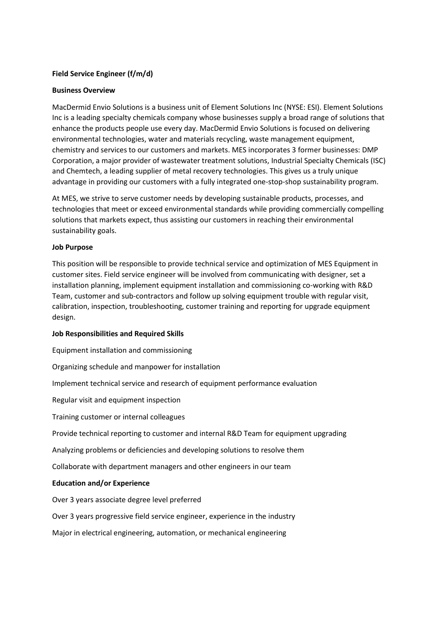# **Field Service Engineer (f/m/d)**

# **Business Overview**

MacDermid Envio Solutions is a business unit of Element Solutions Inc (NYSE: ESI). Element Solutions Inc is a leading specialty chemicals company whose businesses supply a broad range of solutions that enhance the products people use every day. MacDermid Envio Solutions is focused on delivering environmental technologies, water and materials recycling, waste management equipment, chemistry and services to our customers and markets. MES incorporates 3 former businesses: DMP Corporation, a major provider of wastewater treatment solutions, Industrial Specialty Chemicals (ISC) and Chemtech, a leading supplier of metal recovery technologies. This gives us a truly unique advantage in providing our customers with a fully integrated one-stop-shop sustainability program.

At MES, we strive to serve customer needs by developing sustainable products, processes, and technologies that meet or exceed environmental standards while providing commercially compelling solutions that markets expect, thus assisting our customers in reaching their environmental sustainability goals.

### **Job Purpose**

This position will be responsible to provide technical service and optimization of MES Equipment in customer sites. Field service engineer will be involved from communicating with designer, set a installation planning, implement equipment installation and commissioning co-working with R&D Team, customer and sub-contractors and follow up solving equipment trouble with regular visit, calibration, inspection, troubleshooting, customer training and reporting for upgrade equipment design.

#### **Job Responsibilities and Required Skills**

Equipment installation and commissioning

Organizing schedule and manpower for installation

Implement technical service and research of equipment performance evaluation

Regular visit and equipment inspection

Training customer or internal colleagues

Provide technical reporting to customer and internal R&D Team for equipment upgrading

Analyzing problems or deficiencies and developing solutions to resolve them

Collaborate with department managers and other engineers in our team

# **Education and/or Experience**

Over 3 years associate degree level preferred

Over 3 years progressive field service engineer, experience in the industry

Major in electrical engineering, automation, or mechanical engineering